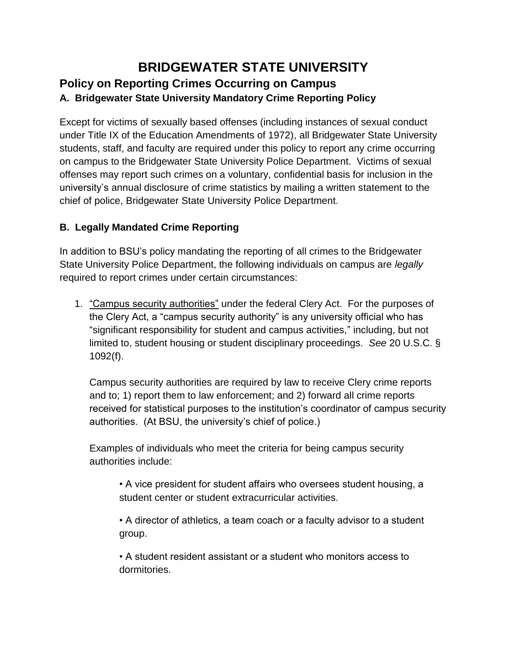## **BRIDGEWATER STATE UNIVERSITY Policy on Reporting Crimes Occurring on Campus A. Bridgewater State University Mandatory Crime Reporting Policy**

Except for victims of sexually based offenses (including instances of sexual conduct under Title IX of the Education Amendments of 1972), all Bridgewater State University students, staff, and faculty are required under this policy to report any crime occurring on campus to the Bridgewater State University Police Department. Victims of sexual offenses may report such crimes on a voluntary, confidential basis for inclusion in the university's annual disclosure of crime statistics by mailing a written statement to the chief of police, Bridgewater State University Police Department.

## **B. Legally Mandated Crime Reporting**

In addition to BSU's policy mandating the reporting of all crimes to the Bridgewater State University Police Department, the following individuals on campus are *legally*  required to report crimes under certain circumstances:

1. "Campus security authorities" under the federal Clery Act. For the purposes of the Clery Act, a "campus security authority" is any university official who has "significant responsibility for student and campus activities," including, but not limited to, student housing or student disciplinary proceedings. *See* 20 U.S.C. § 1092(f).

Campus security authorities are required by law to receive Clery crime reports and to; 1) report them to law enforcement; and 2) forward all crime reports received for statistical purposes to the institution's coordinator of campus security authorities. (At BSU, the university's chief of police.)

Examples of individuals who meet the criteria for being campus security authorities include:

• A vice president for student affairs who oversees student housing, a student center or student extracurricular activities.

• A director of athletics, a team coach or a faculty advisor to a student group.

• A student resident assistant or a student who monitors access to dormitories.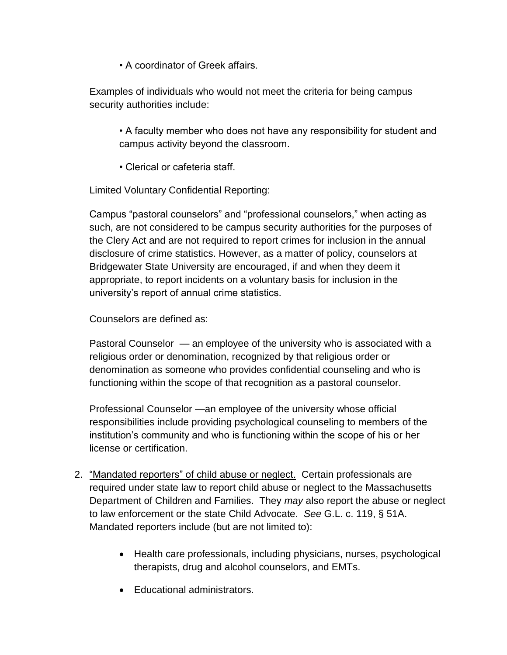• A coordinator of Greek affairs.

Examples of individuals who would not meet the criteria for being campus security authorities include:

- A faculty member who does not have any responsibility for student and campus activity beyond the classroom.
- Clerical or cafeteria staff.

Limited Voluntary Confidential Reporting:

Campus "pastoral counselors" and "professional counselors," when acting as such, are not considered to be campus security authorities for the purposes of the Clery Act and are not required to report crimes for inclusion in the annual disclosure of crime statistics. However, as a matter of policy, counselors at Bridgewater State University are encouraged, if and when they deem it appropriate, to report incidents on a voluntary basis for inclusion in the university's report of annual crime statistics.

Counselors are defined as:

Pastoral Counselor — an employee of the university who is associated with a religious order or denomination, recognized by that religious order or denomination as someone who provides confidential counseling and who is functioning within the scope of that recognition as a pastoral counselor.

Professional Counselor —an employee of the university whose official responsibilities include providing psychological counseling to members of the institution's community and who is functioning within the scope of his or her license or certification.

- 2. "Mandated reporters" of child abuse or neglect. Certain professionals are required under state law to report child abuse or neglect to the Massachusetts Department of Children and Families. They *may* also report the abuse or neglect to law enforcement or the state Child Advocate. *See* G.L. c. 119, § 51A. Mandated reporters include (but are not limited to):
	- Health care professionals, including physicians, nurses, psychological therapists, drug and alcohol counselors, and EMTs.
	- Educational administrators.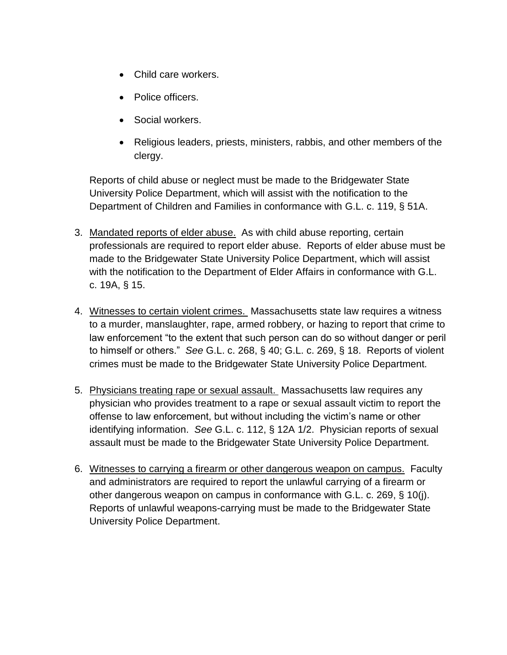- Child care workers.
- Police officers.
- Social workers.
- Religious leaders, priests, ministers, rabbis, and other members of the clergy.

Reports of child abuse or neglect must be made to the Bridgewater State University Police Department, which will assist with the notification to the Department of Children and Families in conformance with G.L. c. 119, § 51A.

- 3. Mandated reports of elder abuse. As with child abuse reporting, certain professionals are required to report elder abuse. Reports of elder abuse must be made to the Bridgewater State University Police Department, which will assist with the notification to the Department of Elder Affairs in conformance with G.L. c. 19A, § 15.
- 4. Witnesses to certain violent crimes. Massachusetts state law requires a witness to a murder, manslaughter, rape, armed robbery, or hazing to report that crime to law enforcement "to the extent that such person can do so without danger or peril to himself or others." *See* G.L. c. 268, § 40; G.L. c. 269, § 18. Reports of violent crimes must be made to the Bridgewater State University Police Department.
- 5. Physicians treating rape or sexual assault. Massachusetts law requires any physician who provides treatment to a rape or sexual assault victim to report the offense to law enforcement, but without including the victim's name or other identifying information. *See* G.L. c. 112, § 12A 1/2. Physician reports of sexual assault must be made to the Bridgewater State University Police Department.
- 6. Witnesses to carrying a firearm or other dangerous weapon on campus. Faculty and administrators are required to report the unlawful carrying of a firearm or other dangerous weapon on campus in conformance with G.L. c. 269, § 10(j). Reports of unlawful weapons-carrying must be made to the Bridgewater State University Police Department.